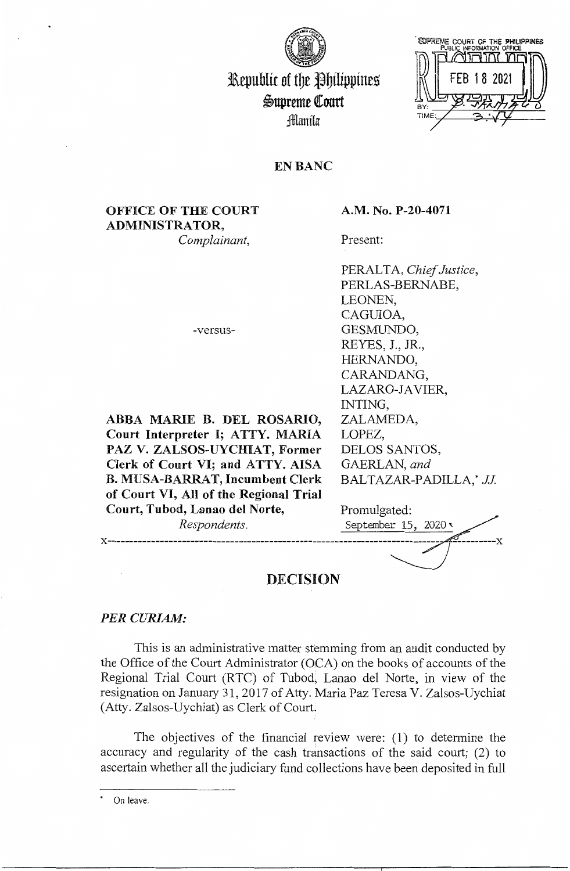

# Republic of the Philippines  $\mathfrak{S}$ upreme Court :filamila



## **EN BANC**

# **OFFICE OF THE COURT ADMINISTRATOR,**

*Complainant,* 

-versus-

**ABBA MARIE B. DEL ROSARIO, Court Interpreter** I; **ATTY. MARIA PAZ V. ZALSOS-UYCHIAT, Former Clerk of Court VI; and ATTY. AISA B. MUSA-BARRAT, Incumbent Clerk of Court VI, All of the Regional Trial** 

### **A.M. No. P-20-4071**

Present:

PERALTA, *Chief Justice,*  PERLAS-BERNABE, LEONEN, CAGUIOA, GESMUNDO, REYES, J., JR., HERNANDO, CARANDANG, LAZARO-JAVIER, INTING, ZALAMEDA, LOPEZ, DELOS SANTOS, GAERLAN, *and*  BALTAZAR-PADILLA,\* *JJ* 

| Court, Tubod, Lanao del Norte, | Promulgated:         |
|--------------------------------|----------------------|
| Respondents.                   | September 15, 2020 v |
|                                |                      |
|                                |                      |
| DECISION                       |                      |

### **DECISION**

### *PERCURJAM:*

This is an administrative matter stemming from an audit conducted by the Office of the Court Administrator (OCA) on the books of accounts of the Regional Trial Court (RTC) of Tubod, Lanao del Norte, in view of the resignation on January 31, 2017 of Atty. Maria Paz Teresa V. Zalsos-Uychiat (Atty. Zalsos-Uychiat) as Clerk of Court.

The objectives of the financial review were: ( 1) to determine the accuracy and regularity of the cash transactions of the said court; (2) to ascertain whether all the judiciary fund collections have been deposited in full

On leave.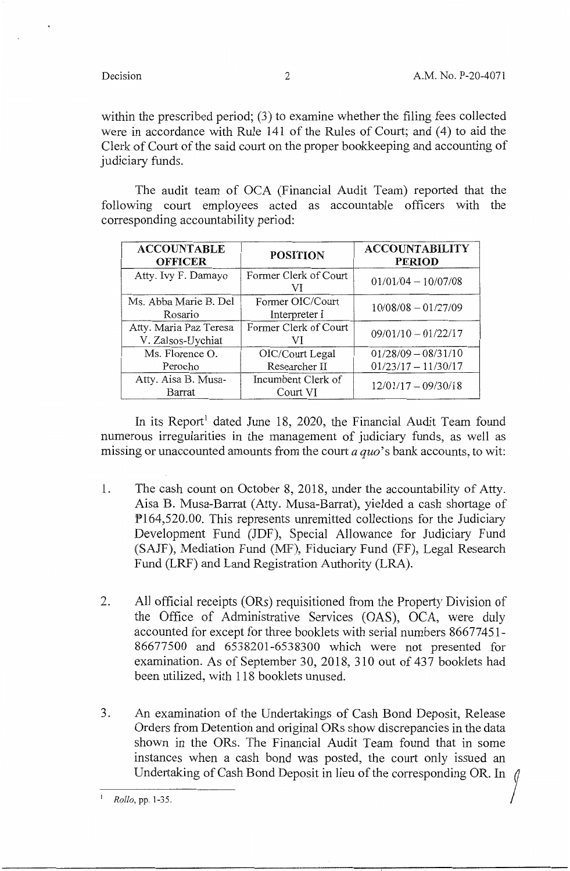within the prescribed period; (3) to examine whether the filing fees collected were in accordance with Rule 141 of the Rules of Court; and (4) to aid the Clerk of Court of the said court on the proper bookkeeping and accounting of judiciary funds.

The audit team of OCA (Financial Audit Team) reported that the following court employees acted as accountable officers with the corresponding accountability period:

| <b>ACCOUNTABLE</b><br><b>OFFICER</b>        | <b>POSITION</b>                   | <b>ACCOUNTABILITY</b><br><b>PERIOD</b> |
|---------------------------------------------|-----------------------------------|----------------------------------------|
| Atty. Ivy F. Damayo                         | Former Clerk of Court<br>VI       | $01/01/04 - 10/07/08$                  |
| Ms. Abba Marie B. Del<br>Rosario            | Former OIC/Court<br>Interpreter I | $10/08/08 - 01/27/09$                  |
| Atty. Maria Paz Teresa<br>V. Zalsos-Uychiat | Former Clerk of Court<br>VI       | $09/01/10 - 01/22/17$                  |
| Ms. Florence O.                             | OIC/Court Legal                   | $01/28/09 - 08/31/10$                  |
| Perocho                                     | Researcher II                     | $01/23/17 - 11/30/17$                  |
| Atty. Aisa B. Musa-<br>Barrat               | Incumbent Clerk of<br>Court VI    | $12/01/17 - 09/30/18$                  |

In its Report<sup>1</sup> dated June 18, 2020, the Financial Audit Team found numerous irregularities in the management of judiciary funds, as well as missing or unaccounted amounts from the court *a quo'* s bank accounts, to wit:

- l. The cash count on October 8, 2018, under the accountability of Atty. Aisa B. Musa-Barrat (Atty. Musa-Barrat), yielded a cash shortage of Pl64,520.00. This represents unremitted collections for the Judiciary Development Fund (JDF), Special Allowance for Judiciary Fund (SAJF), Mediation Fund (MF), Fiduciary Fund (FF), Legal Research Fund (LRF) and Land Registration Authority (LRA).
- 2. All official receipts (ORs) requisitioned from the Property Division of the Office of Administrative Services (OAS), OCA, were duly accounted for except for three booklets with serial numbers 86677451-86677500 and 6538201-6538300 which were not presented for examination. As of September 30, 2018, 310 out of 437 booklets had been utilized, with 118 booklets unused.
- 3. An examination of the Undertakings of Cash Bond Deposit, Release Orders from Detention and original ORs show discrepancies in the data shown in the ORs. The Financial Audit Team found that in some instances when a cash bond was posted, the court only issued an Undertaking of Cash Bond Deposit in lieu of the corresponding OR. In

*Rollo*, pp. 1-35.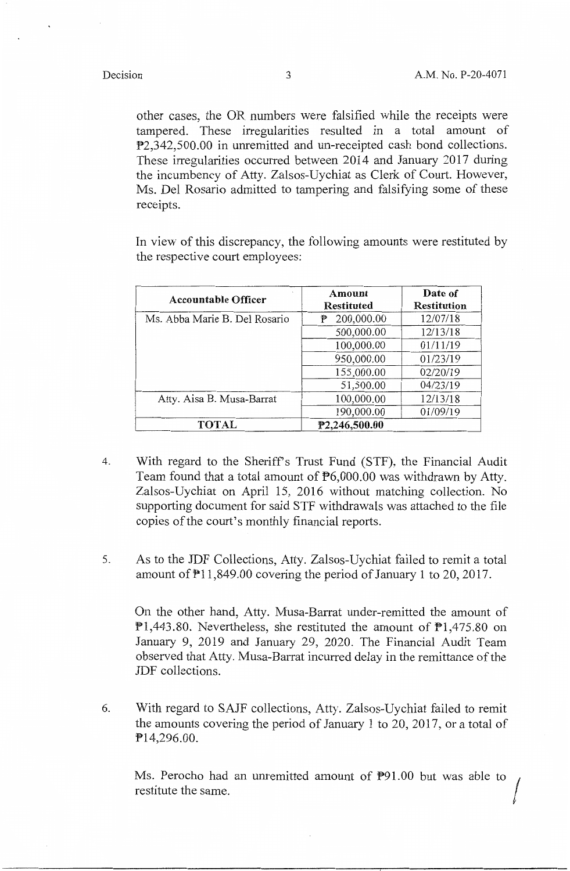other cases, the OR numbers were falsified while the receipts were tampered. These irregularities resulted in a total amount of P2,342,500.00 in unremitted and un-receipted cash bond collections. These irregularities occurred between 2014 and January 2017 during the incumbency of Atty. Zalsos-Uychiat as Clerk of Court. However, Ms. Del Rosario admitted to tampering and falsifying some of these receipts.

In view of this discrepancy, the following amounts were restituted by the respective court employees:

| <b>Accountable Officer</b>    | Amount<br>Restituted | Date of<br><b>Restitution</b> |
|-------------------------------|----------------------|-------------------------------|
| Ms. Abba Marie B. Del Rosario | 200,000.00<br>₱      | 12/07/18                      |
|                               | 500,000.00           | 12/13/18                      |
|                               | 100,000.00           | 01/11/19                      |
|                               | 950,000.00           | 01/23/19                      |
|                               | 155,000.00           | 02/20/19                      |
|                               | 51,500.00            | 04/23/19                      |
| Atty. Aisa B. Musa-Barrat     | 100,000.00           | 12/13/18                      |
|                               | 190,000.00           | 01/09/19                      |
| <b>TOTAL</b>                  | P2,246,500.00        |                               |

- 4. With regard to the Sheriffs Trust Fund (STF), the Financial Audit Team found that a total amount of  $\mathbb{P}6,000.00$  was withdrawn by Atty. Zalsos-Uychiat on April 15, 2016 without matching collection. No supporting document for said STF withdrawals was attached to the file copies of the court's monthly financial reports.
- 5. As to the JDF Collections, Atty. Zalsos-Uychiat failed to remit a total amount of Pl 1,849.00 covering the period of January 1 to 20, 2017.

On the other hand, Atty. Musa-Barrat under-remitted the amount of  $P1,443.80$ . Nevertheless, she restituted the amount of  $P1,475.80$  on January 9, 2019 and January 29, 2020. The Financial Audit Team observed that Atty. Musa-Barrat incurred delay in the remittance of the JDF collections.

6. With regard to SAJF collections, Atty. Zalsos-Uychiat failed to remit the amounts covering the period of January 1 to 20, 2017, or a total of Pl4,296.00.

Ms. Perocho had an unremitted amount of P91.00 but was able to restitute the same.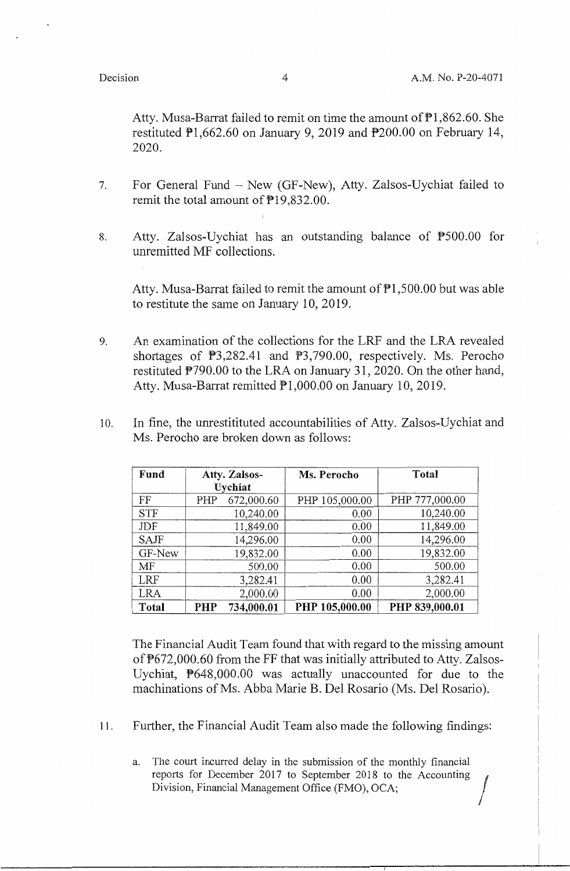Atty. Musa-Barrat failed to remit on time the amount of Pl,862.60. She restituted Pl,662.60 on January 9, 2019 and P200.00 on February 14, 2020.

- 7. For General Fund New (GF-New), Atty. Zalsos-Uychiat failed to remit the total amount of P19,832.00.
- 8. Atty. Zalsos-Uychiat has an outstanding balance of P500.00 for unremitted MF collections.

Atty. Musa-Barrat failed to remit the amount of  $\overline{P}1,500.00$  but was able to restitute the same on January 10, 2019.

- 9. An examination of the collections for the LRF and the LRA revealed shortages of P3,282.41 and P3,790.00, respectively. Ms. Perocho restituted P790.00 to the LRA on January 31, 2020. On the other hand, Atty. Musa-Barrat remitted  $\overline{P}1,000.00$  on January 10, 2019.
- 10. In fine, the unrestitituted accountabilities of Atty. Zalsos-Uychiat and Ms. Perocho are broken down as follows:

| Fund        |     | Atty. Zalsos- | Ms. Perocho    | Total          |
|-------------|-----|---------------|----------------|----------------|
|             |     | Uychiat       |                |                |
| FF          | PHP | 672,000.60    | PHP 105,000.00 | PHP 777,000.00 |
| <b>STF</b>  |     | 10,240.00     | 0.00           | 10,240.00      |
| JDF         |     | 11,849.00     | 0.00           | 11,849.00      |
| <b>SAJF</b> |     | 14,296.00     | 0.00           | 14,296.00      |
| GF-New      |     | 19,832.00     | 0.00           | 19,832.00      |
| MF          |     | 500.00        | 0.00           | 500.00         |
| <b>LRF</b>  |     | 3,282.41      | 0.00           | 3,282.41       |
| LRA         |     | 2,000.00      | 0.00           | 2,000.00       |
| Total       | PHP | 734,000.01    | PHP 105,000.00 | PHP 839,000.01 |

The Financial Audit Team found that with regard to the missing amount of P672,000.60 from the FF that was initially attributed to Atty. Zalsos-Uychiat, P648,000.00 was actually unaccounted for due to the machinations of Ms. Abba Marie B. Del Rosario (Ms. Del Rosario).

- 11. Further, the Financial Audit Team also made the following findings:
	- a. The court incurred delay in the submission of the monthly financial reports for December 2017 to September 2018 to the Accounting Division, Financial Management Office (FMO), OCA;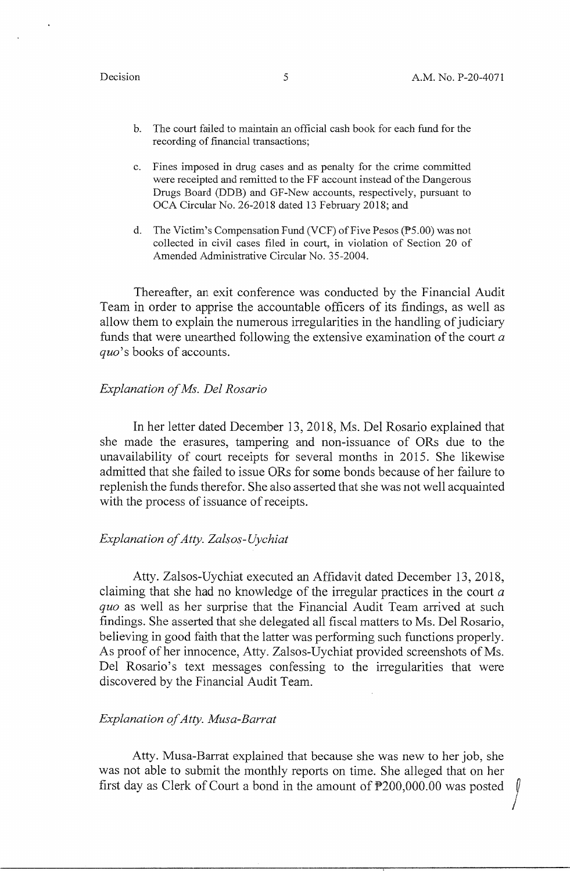- b. The court failed to maintain an official cash book for each fund for the recording of financial transactions;
- c. Fines imposed in drug cases and as penalty for the crime committed were receipted and remitted to the FF account instead of the Dangerous Drugs Board (DDB) and GF-New accounts, respectively, pursuant to OCA Circular No. 26-2018 dated 13 February 2018; and
- d. The Victim's Compensation Fund (VCF) of Five Pesos (P5.00) was not collected in civil cases filed in court, in violation of Section 20 of Amended Administrative Circular No. 35-2004.

Thereafter, an exit conference was conducted by the Financial Audit Team in order to apprise the accountable officers of its findings, as well as allow them to explain the numerous irregularities in the handling of judiciary funds that were unearthed following the extensive examination of the court *<sup>a</sup> quo's* books of accounts.

### *Explanation of Ms. Del Rosario*

In her letter dated December 13, 2018, Ms. Del Rosario explained that she made the erasures, tampering and non-issuance of ORs due to the unavailability of court receipts for several months in 2015. She likewise admitted that she failed to issue ORs for some bonds because of her failure to replenish the funds therefor. She also asserted that she was not well acquainted with the process of issuance of receipts.

### *Explanation of Atty. Zalsos-Uychiat*

Atty. Zalsos-Uychiat executed an Affidavit dated December 13, 2018, claiming that she had no knowledge of the irregular practices in the court *<sup>a</sup> quo* as well as her surprise that the Financial Audit Team arrived at such findings. She asserted that she delegated all fiscal matters to Ms. Del Rosario, believing in good faith that the latter was performing such functions properly. As proof of her innocence, Atty. Zalsos-Uychiat provided screenshots of Ms. Del Rosario's text messages confessing to the irregularities that were discovered by the Financial Audit Team.

### *Explanation of Atty. Musa-Barrat*

Atty. Musa-Barrat explained that because she was new to her job, she was not able to submit the monthly reports on time. She alleged that on her first day as Clerk of Court a bond in the amount of  $P200,000.00$  was posted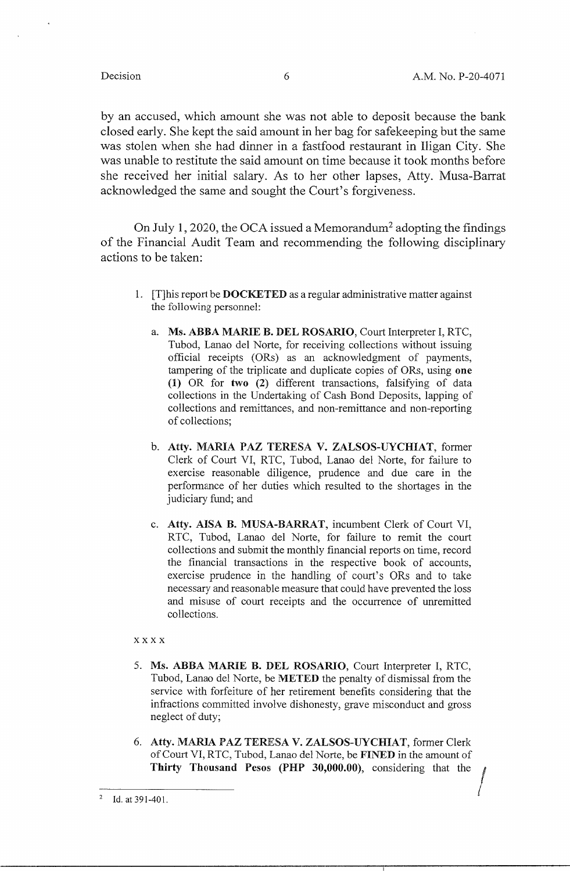by an accused, which amount she was not able to deposit because the bank closed early. She kept the said amount in her bag for safekeeping but the same was stolen when she had dinner in a fastfood restaurant in Iligan City. She was unable to restitute the said amount on time because it took months before she received her initial salary. As to her other lapses, Atty. Musa-Barrat acknowledged the same and sought the Court's forgiveness.

On July 1, 2020, the OCA issued a Memorandum<sup>2</sup> adopting the findings of the Financial Audit Team and recommending the following disciplinary actions to be taken:

- 1. [T]his report be **DOCKETED** as a regular administrative matter against the following personnel:
	- a. **Ms. ABBA MARIE B. DEL ROSARIO,** Court Interpreter I, RTC, Tubod, Lanao del Norte, for receiving collections without issuing official receipts (ORs) as an acknowledgment of payments, tampering of the triplicate and duplicate copies of ORs, using **one (1)** OR for **two (2)** different transactions, falsifying of data collections in the Undertaking of Cash Bond Deposits, lapping of collections and remittances, and non-remittance and non-reporting of collections;
	- b. **Atty. MARIA PAZ TERESA V. ZALSOS-UYCHIAT,** former Clerk of Court VI, RTC, Tubod, Lanao del Norte, for failure to exercise reasonable diligence, prudence and due care in the performance of her duties which resulted to the shortages in the judiciary fund; and
	- c. **Atty. AISA B. MUSA-BARRAT,** incumbent Clerk of Court VI, RTC, Tubod, Lanao del Norte, for failure to remit the court collections and submit the monthly financial reports on time, record the financial transactions in the respective book of accounts, exercise prudence in the handling of court's ORs and to take necessary and reasonable measure that could have prevented the loss and misuse of court receipts and the occurrence of unremitted collections.

### **xxxx**

- 5. **Ms. ABBA MARIE B. DEL ROSARIO,** Court Interpreter I, RTC, Tubod, Lanao del Norte, be **METED** the penalty of dismissal from the service with forfeiture of her retirement benefits considering that the infractions committed involve dishonesty, grave misconduct and gross neglect of duty;
- 6. **Atty. MARIA PAZ TERESA V. ZALSOS-UYCHIAT,** former Clerk of Court VI, RTC, Tubod, Lanao del Norte, be **FINED** in the amount of **Thirty Thousand Pesos (PHP 30,000.00),** considering that the /

<sup>&</sup>lt;sup>2</sup> Id. at 391-401.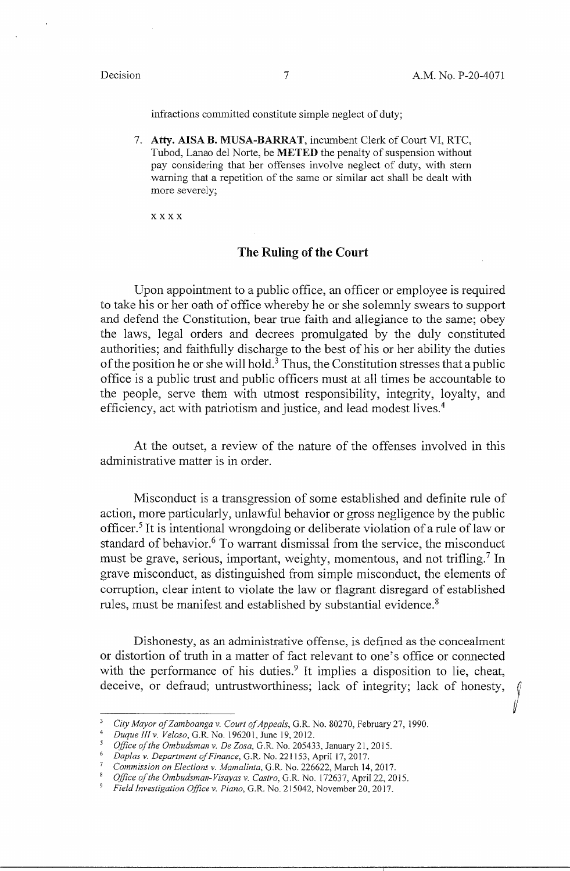$\mathcal{V}^{\mathcal{U}}$ 

infractions committed constitute simple neglect of duty;

7. **Atty. AISA B. MUSA-BARRAT,** incumbent Clerk of Court VI, RTC, Tubod, Lanao del Norte, be **METED** the penalty of suspension without pay considering that her offenses involve neglect of duty, with stern warning that a repetition of the same or similar act shall be dealt with more severely;

xxxx

### The Ruling of the Court

Upon appointment to a public office, an officer or employee is required to take his or her oath of office whereby he or she solemnly swears to support and defend the Constitution, bear true faith and allegiance to the same; obey the laws, legal orders and decrees promulgated by the duly constituted authorities; and faithfully discharge to the best of his or her ability the duties of the position he or she will hold.<sup>3</sup> Thus, the Constitution stresses that a public office is a public trust and public officers must at all times be accountable to the people, serve them with utmost responsibility, integrity, loyalty, and efficiency, act with patriotism and justice, and lead modest lives.<sup>4</sup>

At the outset, a review of the nature of the offenses involved in this administrative matter is in order.

Misconduct is a transgression of some established and definite rule of action, more particularly, unlawful behavior or gross negligence by the public officer.<sup>5</sup> It is intentional wrongdoing or deliberate violation of a rule of law or standard of behavior.<sup>6</sup> To warrant dismissal from the service, the misconduct must be grave, serious, important, weighty, momentous, and not trifling.<sup>7</sup> In grave misconduct, as distinguished from simple misconduct, the elements of corruption, clear intent to violate the law or flagrant disregard of established rules, must be manifest and established by substantial evidence.<sup>8</sup>

Dishonesty, as an administrative offense, is defined as the concealment or distortion of truth in a matter of fact relevant to one's office or connected with the performance of his duties.<sup>9</sup> It implies a disposition to lie, cheat, deceive, or defraud; untrustworthiness; lack of integrity; lack of honesty,

<sup>3</sup>*City Mayor of Zamboanga v. Court of Appeals,* G.R. No. 80270, February 27, 1990.

<sup>4</sup>*Duque Jllv. Veloso,* G.R. No. 196201, June 19, 2012.

*<sup>5</sup> Office of the Ombudsman v. De Zosa,* G.R. No. 205433, January 21, 2015.

<sup>6</sup>*Daplas v. Department of Finance,* G.R. No. 221153, April 17, 2017.

<sup>7</sup>*Commission on Elections v. Mamalinta,* G.R. No. 226622, March 14, 2017.

<sup>8</sup>*Office of the Ombudsman-Visayas v. Castro,* G.R. No. 172637, April 22, 2015.

<sup>9</sup>*Field Investigation Office v. Piano,* G.R. No. 215042, November 20, 2017.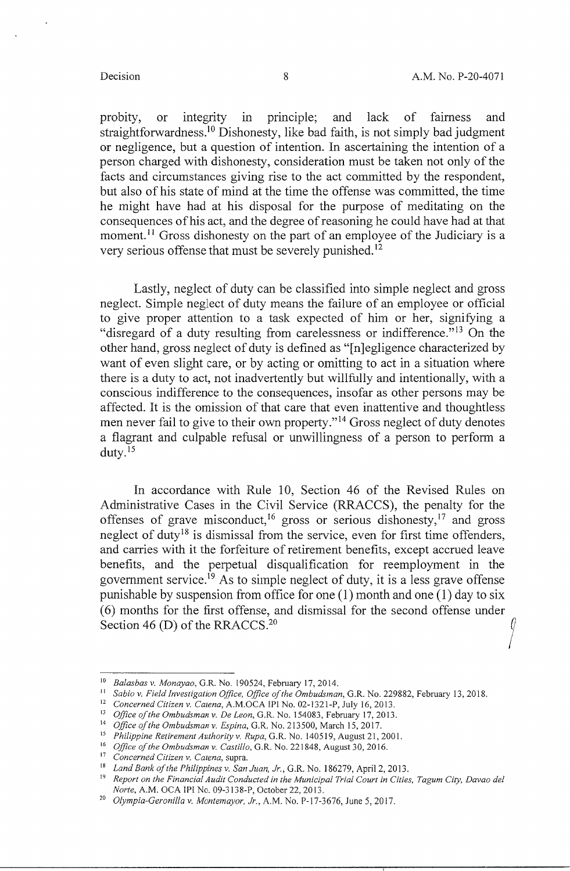probity, or integrity in principle; and lack of fairness and straightforwardness.<sup>10</sup> Dishonesty, like bad faith, is not simply bad judgment or negligence, but a question of intention. In ascertaining the intention of a person charged with dishonesty, consideration must be taken not only of the facts and circumstances giving rise to the act committed by the respondent, but also of his state of mind at the time the offense was committed, the time he might have had at his disposal for the purpose of meditating on the consequences of his act, and the degree of reasoning he could have had at that moment.<sup>11</sup> Gross dishonesty on the part of an employee of the Judiciary is a very serious offense that must be severely punished. <sup>12</sup>

Lastly, neglect of duty can be classified into simple neglect and gross neglect. Simple neglect of duty means the failure of an employee or official to give proper attention to a task expected of him or her, signifying a "disregard of a duty resulting from carelessness or indifference."<sup>13</sup> On the other hand, gross neglect of duty is defined as "[n]egligence characterized by want of even slight care, or by acting or omitting to act in a situation where there is a duty to act, not inadvertently but willfully and intentionally, with a conscious indifference to the consequences, insofar as other persons may be affected. It is the omission of that care that even inattentive and thoughtless men never fail to give to their own property."<sup>14</sup> Gross neglect of duty denotes a flagrant and culpable refusal or unwillingness of a person to perform a duty. <sup>15</sup>

In accordance with Rule 10, Section 46 of the Revised Rules on Administrative Cases in the Civil Service (RRACCS), the penalty for the offenses of grave misconduct,  $16$  gross or serious dishonesty,  $17$  and gross neglect of duty<sup>18</sup> is dismissal from the service, even for first time offenders, and carries with it the forfeiture of retirement benefits, except accrued leave benefits, and the perpetual disqualification for reemployment in the government service.<sup>19</sup> As to simple neglect of duty, it is a less grave offense punishable by suspension from office for one (1) month and one (1) day to six ( 6) months for the first offense, and dismissal for the second offense under Section 46 (D) of the RRACCS.<sup>20</sup>

<sup>10</sup>*Balasbas v. Monayao,* G.R. No. 190524, February 17, 2014.

<sup>&</sup>lt;sup>11</sup> Sabio v. Field Investigation Office, Office of the Ombudsman, G.R. No. 229882, February 13, 2018.

<sup>12</sup>*Concerned Citizen v. Catena,* A.M.OCA IP! No. 02-1321-P, July 16, 2013.

<sup>&</sup>lt;sup>13</sup> Office of the Ombudsman v. De Leon, G.R. No. 154083, February 17, 2013.

<sup>14</sup>*Office of the Ombudsman v. Espina,* G.R. No. 213500, March 15, 2017.

<sup>&</sup>lt;sup>15</sup> Philippine Retirement Authority v. Rupa, G.R. No. 140519, August 21, 2001.

<sup>&</sup>lt;sup>16</sup> Office of the Ombudsman v. Castillo, G.R. No. 221848, August 30, 2016.

<sup>17</sup>*Concerned Citizen v. Catena,* supra.

<sup>&</sup>lt;sup>18</sup> Land Bank of the Philippines v. San Juan, Jr., G.R. No. 186279, April 2, 2013.

<sup>&</sup>lt;sup>19</sup> Report on the Financial Audit Conducted in the Municipal Trial Court in Cities, Tagum City, Davao del *Norte,* A.M. OCA IPI No. 09-3138-P, October 22, 2013.

<sup>20</sup>*Olympia-Ceroni/la v. Montemayor, Jr.,* A.M. No. P-17-3676, June 5, 2017.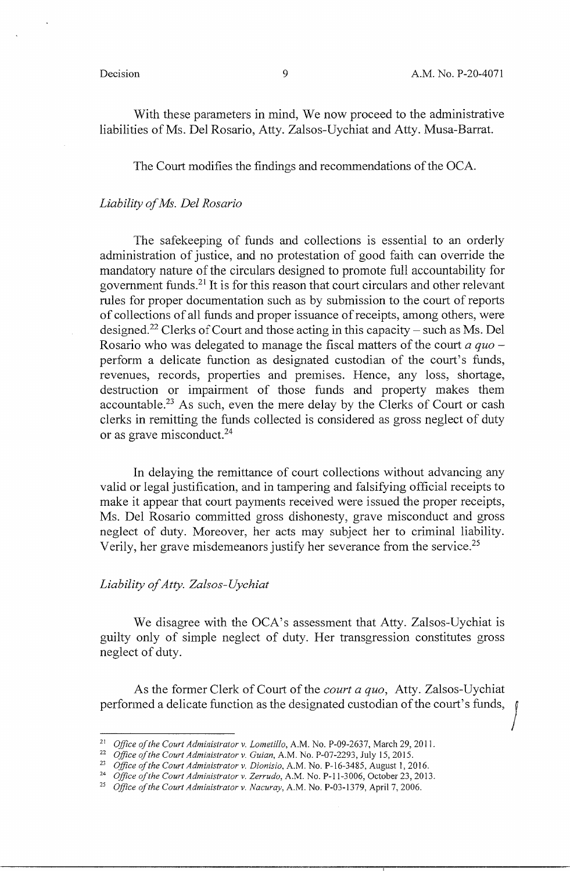I

With these parameters in mind, We now proceed to the administrative liabilities of Ms. Del Rosario, Atty. Zalsos-Uychiat and Atty. Musa-Barrat.

The Court modifies the findings and recommendations of the OCA.

### *Liability of Ms. Del Rosario*

The safekeeping of funds and collections is essential to an orderly administration of justice, and no protestation of good faith can override the mandatory nature of the circulars designed to promote full accountability for government funds. 21 It is for this reason that court circulars and other relevant rules for proper documentation such as by submission to the court of reports of collections of all funds and proper issuance of receipts, among others, were designed.<sup>22</sup> Clerks of Court and those acting in this capacity – such as Ms. Del Rosario who was delegated to manage the fiscal matters of the court *a quo* perform a delicate function as designated custodian of the court's funds, revenues, records, properties and premises. Hence, any loss, shortage, destruction or impairment of those funds and property makes them accountable.23 As such, even the mere delay by the Clerks of Court or cash clerks in remitting the funds collected is considered as gross neglect of duty or as grave misconduct. 24

In delaying the remittance of court collections without advancing any valid or legal justification, and in tampering and falsifying official receipts to make it appear that court payments received were issued the proper receipts, Ms. Del Rosario committed gross dishonesty, grave misconduct and gross neglect of duty. Moreover, her acts may subject her to criminal liability. Verily, her grave misdemeanors justify her severance from the service.<sup>25</sup>

### *Liability of Atty. Zalsos-Uychiat*

We disagree with the OCA's assessment that Atty. Zalsos-Uychiat is guilty only of simple neglect of duty. Her transgression constitutes gross neglect of duty.

As the former Clerk of Court of the *court a quo,* Atty. Zalsos-Uychiat performed a delicate function as the designated custodian of the court's funds,

<sup>&</sup>lt;sup>21</sup> Office of the Court Administrator v. Lometillo, A.M. No. P-09-2637, March 29, 2011.

<sup>&</sup>lt;sup>22</sup> Office of the Court Administrator v. Guian, A.M. No. P-07-2293, July 15, 2015.

<sup>&</sup>lt;sup>23</sup> Office of the Court Administrator v. Dionisio, A.M. No. P-16-3485, August 1, 2016.

<sup>&</sup>lt;sup>24</sup> Office of the Court Administrator v. Zerrudo, A.M. No. P-11-3006, October 23, 2013.

<sup>25</sup>*Office of the Court Administrator v. Nacuray,* A.M. No. P-03-1379, April 7, 2006.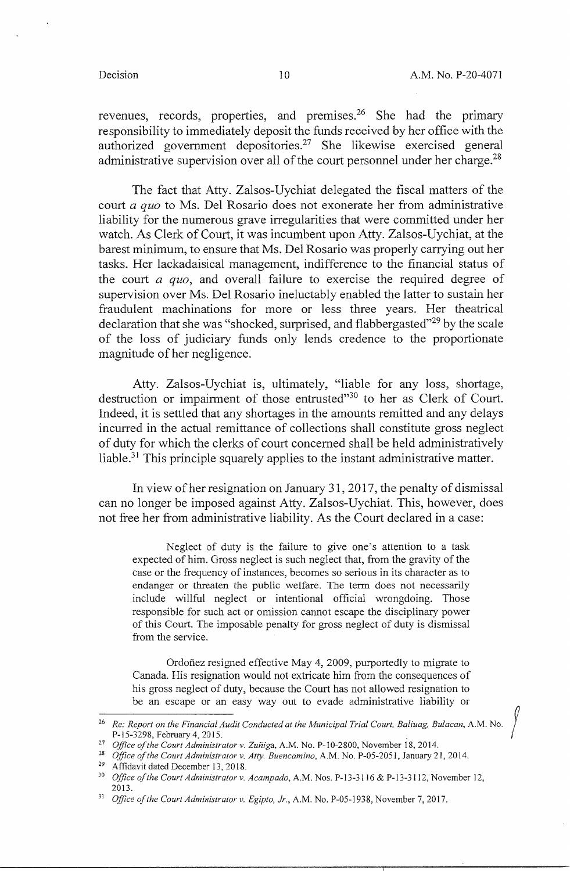revenues, records, properties, and premises.<sup>26</sup> She had the primary responsibility to immediately deposit the funds received by her office with the authorized government depositories.27 She likewise exercised general administrative supervision over all of the court personnel under her charge.<sup>28</sup>

The fact that Atty. Zalsos-Uychiat delegated the fiscal matters of the court *a quo* to Ms. Del Rosario does not exonerate her from administrative liability for the numerous grave irregularities that were committed under her watch. As Clerk of Court, it was incumbent upon Atty. Zalsos-Uychiat, at the barest minimum, to ensure that Ms. Del Rosario was properly carrying out her tasks. Her lackadaisical management, indifference to the financial status of the court *a quo,* and overall failure to exercise the required degree of supervision over Ms. Del Rosario ineluctably enabled the latter to sustain her fraudulent machinations for more or less three years. Her theatrical declaration that she was "shocked, surprised, and flabbergasted"<sup>29</sup> by the scale of the loss of judiciary funds only lends credence to the proportionate magnitude of her negligence.

Atty. Zalsos-Uychiat is, ultimately, "liable for any loss, shortage, destruction or impairment of those entrusted"30 to her as Clerk of Court. Indeed, it is settled that any shortages in the amounts remitted and any delays incurred in the actual remittance of collections shall constitute gross neglect of duty for which the clerks of court concerned shall be held administratively liable.31 This principle squarely applies to the instant administrative matter.

In view of her resignation on January 31, 2017, the penalty of dismissal can no longer be imposed against Atty. Zalsos-Uychiat. This, however, does not free her from administrative liability. As the Court declared in a case:

Neglect of duty is the failure to give one's attention to a task expected of him. Gross neglect is such neglect that, from the gravity of the case or the frequency of instances, becomes so serious in its character as to endanger or threaten the public welfare. The term does not necessarily include willful neglect or intentional official wrongdoing. Those responsible for such act or omission cannot escape the disciplinary power of this Court. The imposable penalty for gross neglect of duty is dismissal from the service.

Ordoñez resigned effective May 4, 2009, purportedly to migrate to Canada. His resignation would not extricate him from the consequences of his gross neglect of duty, because the Court has not allowed resignation to be an escape or an easy way out to evade administrative liability or

<sup>&</sup>lt;sup>26</sup> Re: Report on the Financial Audit Conducted at the Municipal Trial Court, Baliuag, Bulacan, A.M. No. P-15-3298, February 4, 2015.

<sup>&</sup>lt;sup>27</sup> Office of the Court Administrator v. Zuñiga, A.M. No. P-10-2800, November 18, 2014.

<sup>&</sup>lt;sup>28</sup> Office of the Court Administrator v. Atty. Buencamino, A.M. No. P-05-2051, January 21, 2014. <sup>29</sup> Affidavit dated December 13, 2018.

<sup>30</sup>*Office of the Court Administrator v. Acampado,* A.M. Nos. P-13-3116 & P-13-3112, November 12, 2013.

<sup>&</sup>lt;sup>31</sup> Office of the Court Administrator v. Egipto, Jr., A.M. No. P-05-1938, November 7, 2017.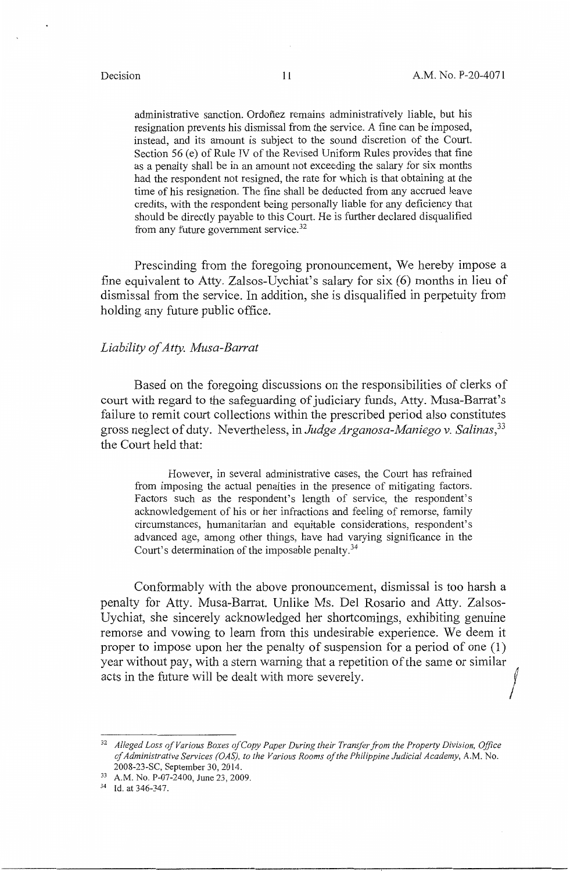administrative sanction. Ordonez remains administratively liable, but his resignation prevents his dismissal from the service. A fine can be imposed, instead, and its amount is subject to the sound discretion of the Court. Section 56 (e) of Rule IV of the Revised Uniform Rules provides that fine as a penalty shall be in an amount not exceeding the salary for six months had the respondent not resigned, the rate for which is that obtaining at the time of his resignation. The fine shall be deducted from any accrued leave credits, with the respondent being personally liable for any deficiency that should be directly payable to this Court. He is further declared disqualified from any future government service.<sup>32</sup>

Prescinding from the foregoing pronouncement, We hereby impose a fine equivalent to Atty. Zalsos-Uychiat's salary for six (6) months in lieu of dismissal from the service. In addition, she is disqualified in perpetuity from holding any future public office.

### *Liability of Atty. Musa-Barrat*

Based on the foregoing discussions on the responsibilities of clerks of court with regard to the safeguarding of judiciary funds, Atty. Musa-Barrat's failure to remit court collections within the prescribed period also constitutes gross neglect of duty. Nevertheless, in *Judge Arganosa-Maniego v. Salinas,<sup>33</sup>* the Court held that:

However, in several administrative cases, the Court has refrained from imposing the actual penalties in the presence of mitigating factors. Factors such as the respondent's length of service, the respondent's acknowledgement of his or her infractions and feeling of remorse, family circumstances, humanitarian and equitable considerations, respondent's advanced age, among other things, have had varying significance in the Court's determination of the imposable penalty. $34$ 

Conformably with the above pronouncement, dismissal is too harsh a penalty for Atty. Musa-Barrat. Unlike Ms. Del Rosario and Atty. Zalsos-Uychiat, she sincerely acknowledged her shortcomings, exhibiting genuine remorse and vowing to learn from this undesirable experience. We deem it proper to impose upon her the penalty of suspension for a period of one (1) year without pay, with a stern warning that a repetition of the same or similar acts in the future will be dealt with more severely.

<sup>32</sup>*Alleged Loss of Various Boxes of Copy Paper During their Transfer from the Property Division, Office of Administrative Services (OAS), to the Various Rooms of the Philippine Judicial Academy,* A.M. No. 2008-23-SC, September 30, 2014.

<sup>33</sup> A.M. No. P-07-2400, June 23, 2009.

<sup>34</sup> Id. at 346-347.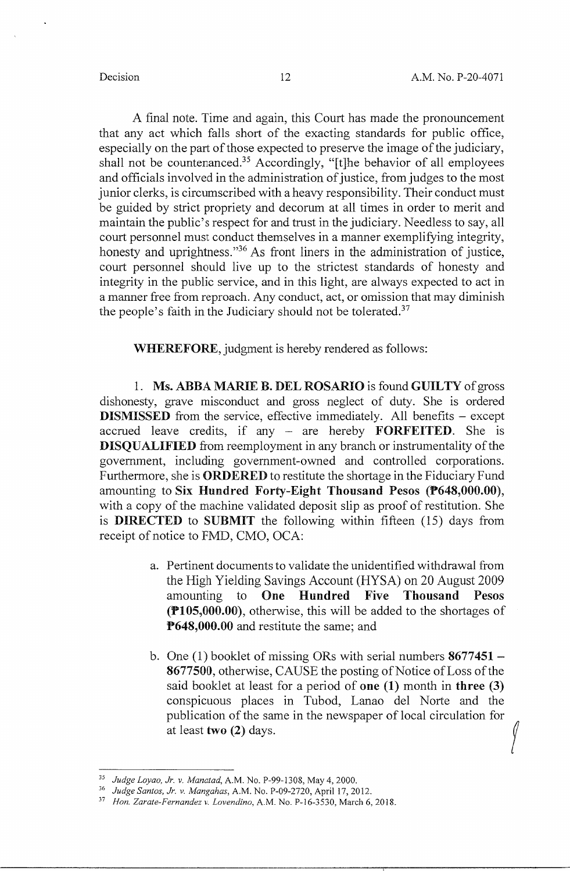A final note. Time and again, this Court has made the pronouncement that any act which falls short of the exacting standards for public office, especially on the part of those expected to preserve the image of the judiciary, shall not be countenanced.<sup>35</sup> Accordingly, "[t]he behavior of all employees and officials involved in the administration of justice, from judges to the most junior clerks, is circumscribed with a heavy responsibility. Their conduct must be guided by strict propriety and decorum at all times in order to merit and maintain the public's respect for and trust in the judiciary. Needless to say, all court personnel must conduct themselves in a manner exemplifying integrity, honesty and uprightness."<sup>36</sup> As front liners in the administration of justice, court personnel should live up to the strictest standards of honesty and integrity in the public service, and in this light, are always expected to act in a manner free from reproach. Any conduct, act, or omission that may diminish the people's faith in the Judiciary should not be tolerated.<sup>37</sup>

**WHEREFORE,** judgment is hereby rendered as follows:

l. **Ms. ABBA MARIE B. DEL ROSARIO** is found **GUILTY** of gross dishonesty, grave misconduct and gross neglect of duty. She is ordered **DISMISSED** from the service, effective immediately. All benefits – except accrued leave credits, if any - are hereby **FORFEITED.** She is **DISQUALIFIED** from reemployment in any branch or instrumentality of the government, including government-owned and controlled corporations. Furthermore, she is **ORDERED** to restitute the shortage in the Fiduciary Fund amounting to **Six Hundred Forty-Eight Thousand Pesos (P648,000.00),**  with a copy of the machine validated deposit slip as proof of restitution. She is **DIRECTED** to **SUBMIT** the following within fifteen (15) days from receipt of notice to FMD, CMO, OCA:

- a. Pertinent documents to validate the unidentified withdrawal from the High Yielding Savings Account (HYSA) on 20 August 2009 amounting to **One Hundred Five Thousand Pesos (Pl 05,000.00),** otherwise, this will be added to the shortages of **P648,000.00** and restitute the same; and
- b. One (1) booklet of missing ORs with serial numbers **8677451- 8677500,** otherwise, CAUSE the posting of Notice of Loss of the said booklet at least for a period of **one (1)** month in **three (3)**  conspicuous places in Tubod, Lanao del Norte and the publication of the same in the newspaper of local circulation for <br>at least **two (2)** days.

<sup>35</sup>*Judge Loyao, Jr. v. Manatad,* A.M. No. P-99-1308, May 4, 2000.

<sup>36</sup>*Judge Santos, Jr. v. Mangahas,* A.M. No. P-09-2720, April 17, 2012.

<sup>37</sup>*Hon. Zarate-Fernandez v. Lovendino,* A.M. No. P-16-3530, March 6, 2018.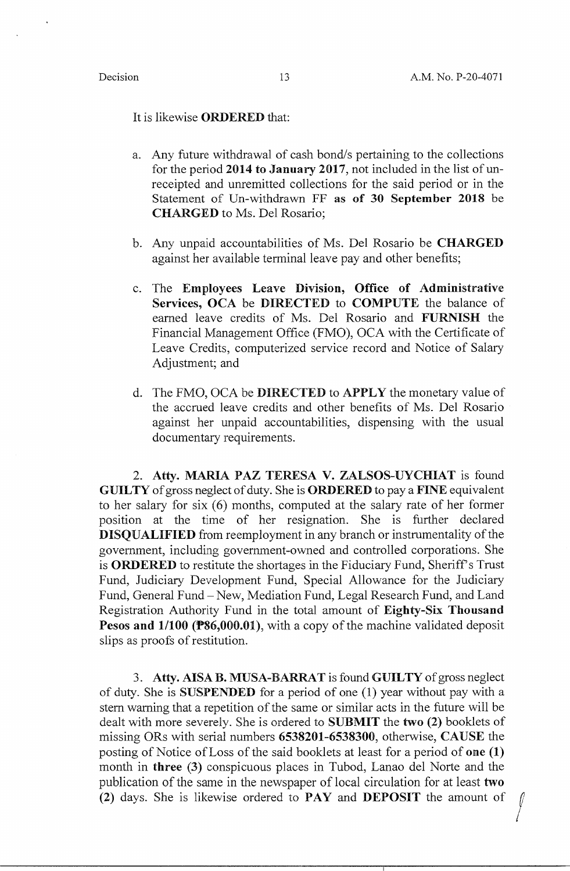It is likewise **ORDERED** that:

- a. Any future withdrawal of cash bond/s pertaining to the collections for the period 2014 to January 2017, not included in the list of unreceipted and unremitted collections for the said period or in the Statement of Un-withdrawn FF **as of 30 September 2018** be **CHARGED** to Ms. Del Rosario;
- b. Any unpaid accountabilities of Ms. Del Rosario be **CHARGED**  against her available terminal leave pay and other benefits;
- c. The **Employees Leave Division, Office of Administrative Services, OCA** be **DIRECTED** to **COMPUTE** the balance of earned leave credits of Ms. Del Rosario and **FURNISH** the Financial Management Office (FMO), OCA with the Certificate of Leave Credits, computerized service record and Notice of Salary Adjustment; and
- d. The FMO, OCA be **DIRECTED** to **APPLY** the monetary value of the accrued leave credits and other benefits of Ms. Del Rosario against her unpaid accountabilities, dispensing with the usual documentary requirements.

2. **Atty. MARIA PAZ TERESA V. ZALSOS-UYCHIAT** is found **GUILTY** of gross neglect of duty. She is **ORDERED** to pay a **FINE** equivalent to her salary for six  $(6)$  months, computed at the salary rate of her former position at the time of her resignation. She is further declared **DISQUALIFIED** from reemployment in any branch or instrumentality of the government, including government-owned and controlled corporations. She is **ORDERED** to restitute the shortages in the Fiduciary Fund, Sheriff's Trust Fund, Judiciary Development Fund, Special Allowance for the Judiciary Fund, General Fund – New, Mediation Fund, Legal Research Fund, and Land Registration Authority Fund in the total amount of **Eighty-Six Thousand Pesos and 1/100 (P86,000.01),** with a copy of the machine validated deposit slips as proofs of restitution.

3. **Atty. AISA B. MUSA-BARRA** Tis found **GUILTY** of gross neglect of duty. She is **SUSPENDED** for a period of one (1) year without pay with a stern warning that a repetition of the same or similar acts in the future will be dealt with more severely. She is ordered to **SUBMIT** the **two (2)** booklets of missing ORs with serial numbers **6538201-6538300,** otherwise, **CAUSE** the posting of Notice of Loss of the said booklets at least for a period of **one (1)**  month in **three** (3) conspicuous places in Tubod, Lanao del Norte and the publication of the same in the newspaper of local circulation for at least **two**  (2) days. She is likewise ordered to **PAY** and **DEPOSIT** the amount of  $\int$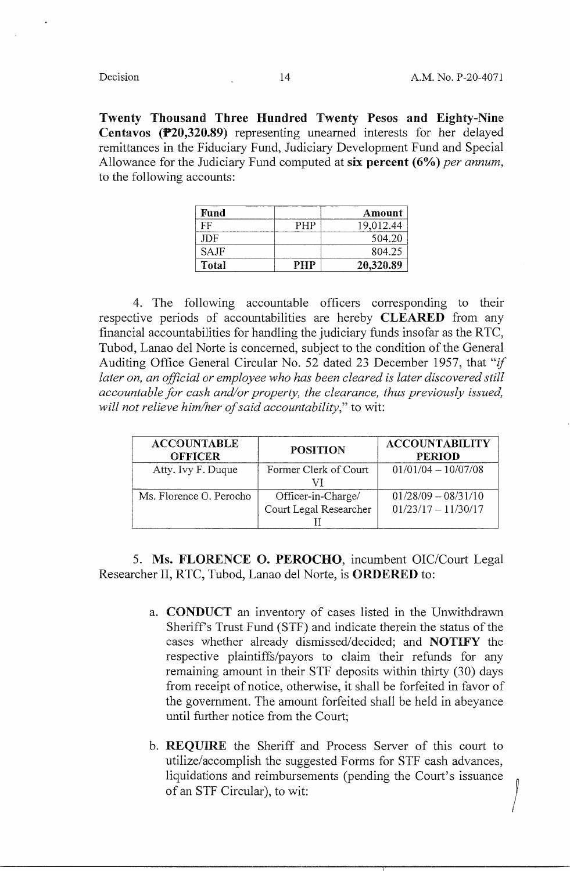**Twenty Thousand Three Hundred Twenty Pesos and Eighty-Nine Centavos (P20,320.89)** representing unearned interests for her delayed remittances in the Fiduciary Fund, Judiciary Development Fund and Special Allowance for the Judiciary Fund computed at **six percent (6%)** *per annum,*  to the following accounts:

| Fund        |     | Amount    |
|-------------|-----|-----------|
| FF          | PHP | 19,012.44 |
| JDF.        |     | 504.20    |
| <b>SAJF</b> |     | 804.25    |
| Total       | PHP | 20,320.89 |

4. The following accountable officers corresponding to their respective periods of accountabilities are hereby **CLEARED** from any financial accountabilities for handling the judiciary funds insofar as the RTC, Tubod, Lanao del Norte is concerned, subject to the condition of the General Auditing Office General Circular No. 52 dated 23 December 1957, that "if *later on, an official or employee who has been cleared is later discovered still accountable for cash and/or property, the clearance, thus previously issued, will not relieve him/her of said accountability,"* to wit:

| <b>ACCOUNTABLE</b><br><b>OFFICER</b> | <b>POSITION</b>                              | <b>ACCOUNTABILITY</b><br><b>PERIOD</b>         |
|--------------------------------------|----------------------------------------------|------------------------------------------------|
| Atty. Ivy F. Duque                   | Former Clerk of Court                        | $01/01/04 - 10/07/08$                          |
| Ms. Florence O. Perocho              | Officer-in-Charge/<br>Court Legal Researcher | $01/28/09 - 08/31/10$<br>$01/23/17 - 11/30/17$ |

5. **Ms. FLORENCE 0. PEROCHO,** incumbent OIC/Court Legal Researcher II, RTC, Tubod, Lanao del Norte, is **ORDERED** to:

- a. **CONDUCT** an inventory of cases listed in the Unwithdrawn Sheriff's Trust Fund (STF) and indicate therein the status of the cases whether already dismissed/decided; and **NOTIFY** the respective plaintiffs/payors to claim their refunds for any remaining amount in their STF deposits within thirty (30) days from receipt of notice, otherwise, it shall be forfeited in favor of the government. The amount forfeited shall be held in abeyance until further notice from the Court;
- b. **REQUIRE** the Sheriff and Process Server of this court to utilize/accomplish the suggested Forms for STF cash advances, liquidations and reimbursements (pending the Court's issuance of an STF Circular), to wit: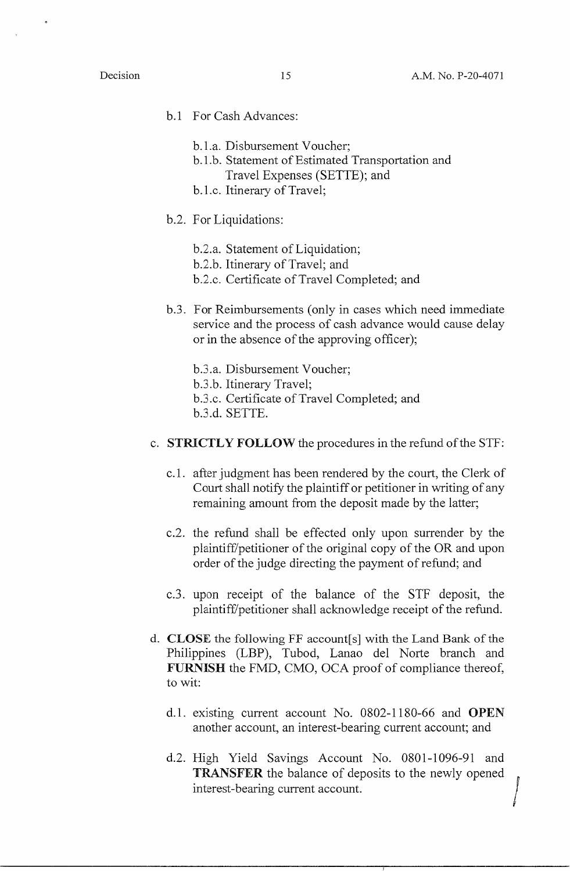- b.1 For Cash Advances:
	- b.1.a. Disbursement Voucher;
	- b. 1.b. Statement of Estimated Transportation and Travel Expenses (SETTE); and
	- b. l.c. Itinerary of Travel;
- b.2. For Liquidations:
	- b.2.a. Statement of Liquidation;
	- b.2.b. Itinerary of Travel; and
	- b.2.c. Certificate of Travel Completed; and
- b.3. For Reimbursements (only in cases which need immediate service and the process of cash advance would cause delay or in the absence of the approving officer);
	- b.3.a. Disbursement Voucher;
	- b.3.b. Itinerary Travel;
	- b.3 .c. Certificate of Travel Completed; and
	- b.3 .d. SETTE.
- c. **STRICTLY FOLLOW** the procedures in the refund of the STF:
	- c. l. after judgment has been rendered by the court, the Clerk of Court shall notify the plaintiff or petitioner in writing of any remaining amount from the deposit made by the latter;
	- c.2. the refund shall be effected only upon surrender by the plaintiff/petitioner of the original copy of the OR and upon order of the judge directing the payment of refund; and
	- c.3. upon receipt of the balance of the STF deposit, the plaintiff/petitioner shall acknowledge receipt of the refund.
- d. **CLOSE** the following FF account[ s] with the Land Bank of the Philippines (LBP), Tubod, Lanao del Norte branch and **FURNISH** the FMD, CMO, OCA proof of compliance thereof, to wit:
	- d. l. existing current account No. 0802-1180-66 and **OPEN**  another account, an interest-bearing current account; and
	- d.2. High Yield Savings Account No. 0801-1096-91 and **TRANSFER** the balance of deposits to the newly opened interest-bearing current account.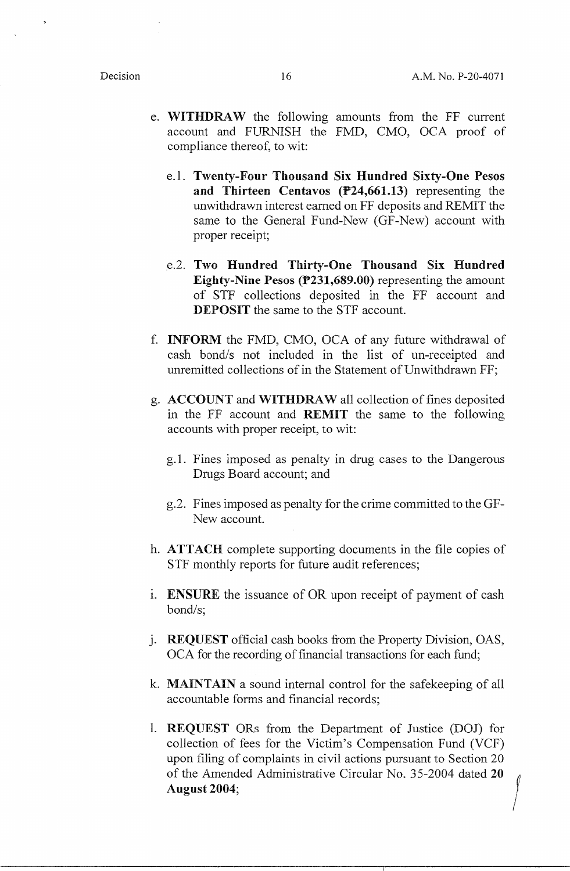- e. **WITHDRAW** the following amounts from the FF current account and FURNISH the FMD, CMO, OCA proof of compliance thereof, to wit:
	- e.l. **Twenty-Four Thousand Six Hundred Sixty-One Pesos and Thirteen Centavos (P24,661.13)** representing the unwithdrawn interest earned on FF deposits and REMIT the same to the General Fund-New (GF-New) account with proper receipt;
	- e.2. Two Hundred Thirty-One Thousand Six Hundred **Eighty-Nine Pesos (P231,689.00)** representing the amount of STF collections deposited in the FF account and **DEPOSIT** the same to the STF account.
- f. **INFORM** the FMD, CMO, OCA of any future withdrawal of cash bond/s not included in the list of un-receipted and unremitted collections of in the Statement of Unwithdrawn FF;
- g. **ACCOUNT** and **WITHDRAW** all collection of fines deposited in the FF account and **REMIT** the same to the following accounts with proper receipt, to wit:
	- g.1. Fines imposed as penalty in drug cases to the Dangerous Drugs Board account; and
	- g.2. Fines imposed as penalty for the crime committed to the GF-New account.
- h. **ATTACH** complete supporting documents in the file copies of STF monthly reports for future audit references;
- 1. **ENSURE** the issuance of OR upon receipt of payment of cash bond/s;
- j. **REQUEST** official cash books from the Property Division, OAS, OCA for the recording of financial transactions for each fund;
- k. **MAINTAIN** a sound internal control for the safekeeping of all accountable forms and financial records;
- I. **REQUEST** ORs from the Department of Justice (DOJ) for collection of fees for the Victim's Compensation Fund (VCF) upon filing of complaints in civil actions pursuant to Section 20 conection of thes for the victim's Compensation Fund (VCF)<br>upon filing of complaints in civil actions pursuant to Section 20<br>of the Amended Administrative Circular No. 35-2004 dated 20 **August 2004;**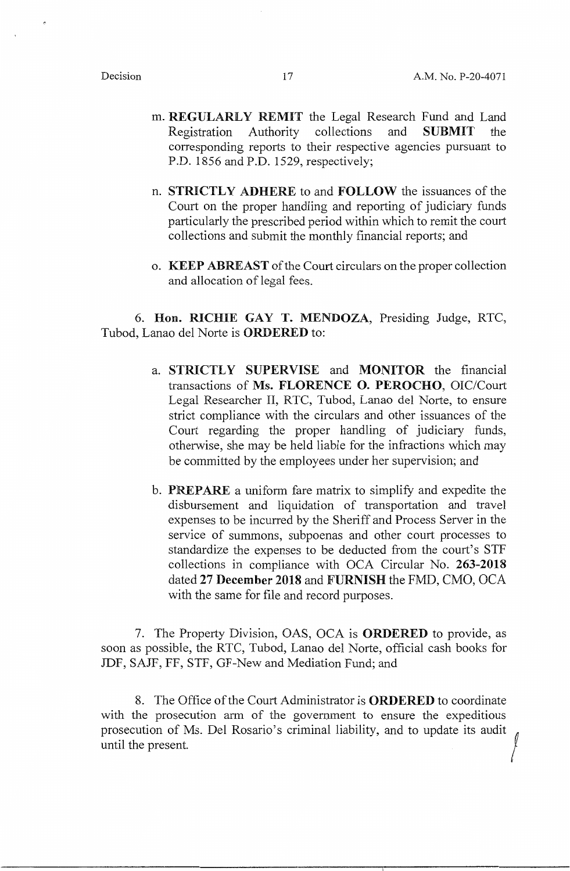- m. **REGULARLY REMIT** the Legal Research Fund and Land Registration Authority collections and **SUBMIT** the corresponding reports to their respective agencies pursuant to P.D. 1856 and P.D. 1529, respectively;
- n. **STRICTLY ADHERE** to and **FOLLOW** the issuances of the Court on the proper handling and reporting of judiciary funds particularly the prescribed period within which to remit the court collections and submit the monthly financial reports; and
- o. **KEEP ABREAST** of the Court circulars on the proper collection and allocation of legal fees.

6. **Hon. RICHIE GAY T. MENDOZA,** Presiding Judge, RTC, Tubod, Lanao del Norte is **ORDERED** to:

- a. **STRICTLY SUPERVISE** and **MONITOR** the financial transactions of **Ms. FLORENCE 0. PEROCHO,** OIC/Court Legal Researcher II, RTC, Tubod, Lanao del Norte, to ensure strict compliance with the circulars and other issuances of the Court regarding the proper handling of judiciary funds, otherwise, she may be held liable for the infractions which may be committed by the employees under her supervision; and
- b. **PREPARE** a uniform fare matrix to simplify and expedite the disbursement and liquidation of transportation and travel expenses to be incurred by the Sheriff and Process Server in the service of summons, subpoenas and other court processes to standardize the expenses to be deducted from the court's STF collections in compliance with OCA Circular No. **263-2018**  dated **27 December 2018** and **FURNISH** the FMD, CMO, OCA with the same for file and record purposes.

7. The Property Division, OAS, OCA is **ORDERED** to provide, as soon as possible, the RTC, Tubod, Lanao del Norte, official cash books for JDF, SAJF, FF, STF, GF-New and Mediation Fund; and

8. The Office of the Court Administrator is **ORDERED** to coordinate with the prosecution arm of the government to ensure the expeditious prosecution of Ms. Del Rosario's criminal liability, and to update its audit ! until the present.